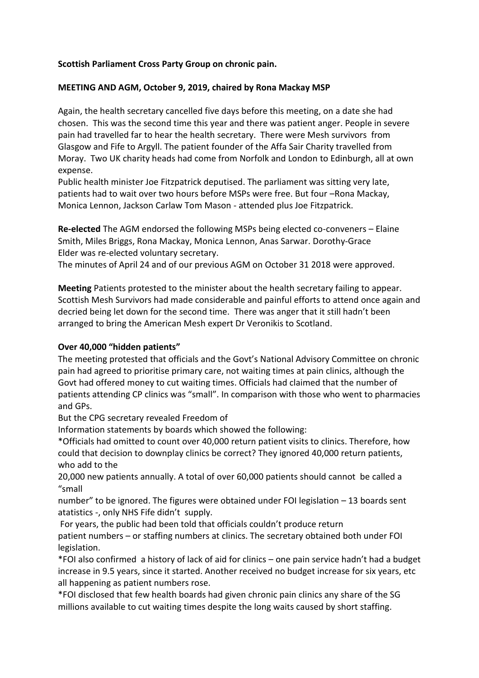# **Scottish Parliament Cross Party Group on chronic pain.**

## **MEETING AND AGM, October 9, 2019, chaired by Rona Mackay MSP**

Again, the health secretary cancelled five days before this meeting, on a date she had chosen. This was the second time this year and there was patient anger. People in severe pain had travelled far to hear the health secretary. There were Mesh survivors from Glasgow and Fife to Argyll. The patient founder of the Affa Sair Charity travelled from Moray. Two UK charity heads had come from Norfolk and London to Edinburgh, all at own expense.

Public health minister Joe Fitzpatrick deputised. The parliament was sitting very late, patients had to wait over two hours before MSPs were free. But four –Rona Mackay, Monica Lennon, Jackson Carlaw Tom Mason - attended plus Joe Fitzpatrick.

**Re-elected** The AGM endorsed the following MSPs being elected co-conveners – Elaine Smith, Miles Briggs, Rona Mackay, Monica Lennon, Anas Sarwar. Dorothy-Grace Elder was re-elected voluntary secretary.

The minutes of April 24 and of our previous AGM on October 31 2018 were approved.

**Meeting** Patients protested to the minister about the health secretary failing to appear. Scottish Mesh Survivors had made considerable and painful efforts to attend once again and decried being let down for the second time. There was anger that it still hadn't been arranged to bring the American Mesh expert Dr Veronikis to Scotland.

## **Over 40,000 "hidden patients"**

The meeting protested that officials and the Govt's National Advisory Committee on chronic pain had agreed to prioritise primary care, not waiting times at pain clinics, although the Govt had offered money to cut waiting times. Officials had claimed that the number of patients attending CP clinics was "small". In comparison with those who went to pharmacies and GPs.

But the CPG secretary revealed Freedom of

Information statements by boards which showed the following:

\*Officials had omitted to count over 40,000 return patient visits to clinics. Therefore, how could that decision to downplay clinics be correct? They ignored 40,000 return patients, who add to the

20,000 new patients annually. A total of over 60,000 patients should cannot be called a "small

number" to be ignored. The figures were obtained under FOI legislation – 13 boards sent atatistics -, only NHS Fife didn't supply.

For years, the public had been told that officials couldn't produce return patient numbers – or staffing numbers at clinics. The secretary obtained both under FOI legislation.

\*FOI also confirmed a history of lack of aid for clinics – one pain service hadn't had a budget increase in 9.5 years, since it started. Another received no budget increase for six years, etc all happening as patient numbers rose.

\*FOI disclosed that few health boards had given chronic pain clinics any share of the SG millions available to cut waiting times despite the long waits caused by short staffing.